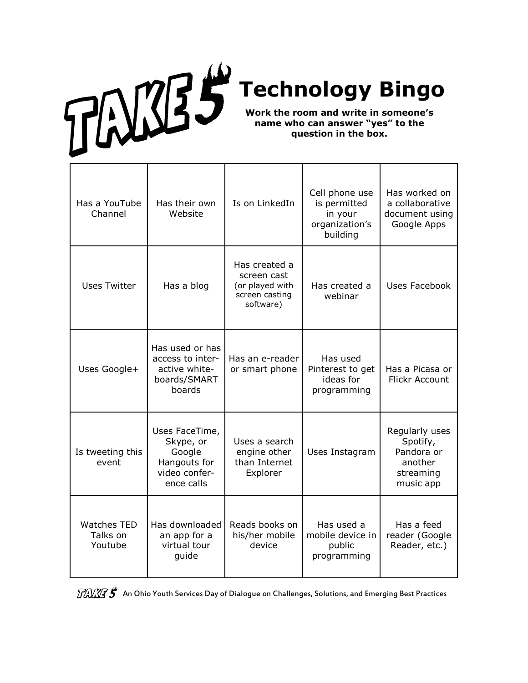## **Technology Bingo**

**Work the room and write in someone's name who can answer "yes" to the question in the box.**

| Has a YouTube<br>Channel                  | Has their own<br>Website                                                             | Is on LinkedIn                                                                 | Cell phone use<br>is permitted<br>in your<br>organization's<br>building | Has worked on<br>a collaborative<br>document using<br>Google Apps             |
|-------------------------------------------|--------------------------------------------------------------------------------------|--------------------------------------------------------------------------------|-------------------------------------------------------------------------|-------------------------------------------------------------------------------|
| <b>Uses Twitter</b>                       | Has a blog                                                                           | Has created a<br>screen cast<br>(or played with<br>screen casting<br>software) | Has created a<br>webinar                                                | Uses Facebook                                                                 |
| Uses Google+                              | Has used or has<br>access to inter-<br>active white-<br>boards/SMART<br>boards       | Has an e-reader<br>or smart phone                                              | Has used<br>Pinterest to get<br>ideas for<br>programming                | Has a Picasa or<br><b>Flickr Account</b>                                      |
| Is tweeting this<br>event                 | Uses FaceTime,<br>Skype, or<br>Google<br>Hangouts for<br>video confer-<br>ence calls | Uses a search<br>engine other<br>than Internet<br>Explorer                     | Uses Instagram                                                          | Regularly uses<br>Spotify,<br>Pandora or<br>another<br>streaming<br>music app |
| <b>Watches TED</b><br>Talks on<br>Youtube | Has downloaded<br>an app for a<br>virtual tour<br>guide                              | Reads books on<br>his/her mobile<br>device                                     | Has used a<br>mobile device in<br>public<br>programming                 | Has a feed<br>reader (Google<br>Reader, etc.)                                 |

 $\widehat{H}\widehat{C}\widehat{C}\widehat{C}$  An Ohio Youth Services Day of Dialogue on Challenges, Solutions, and Emerging Best Practices